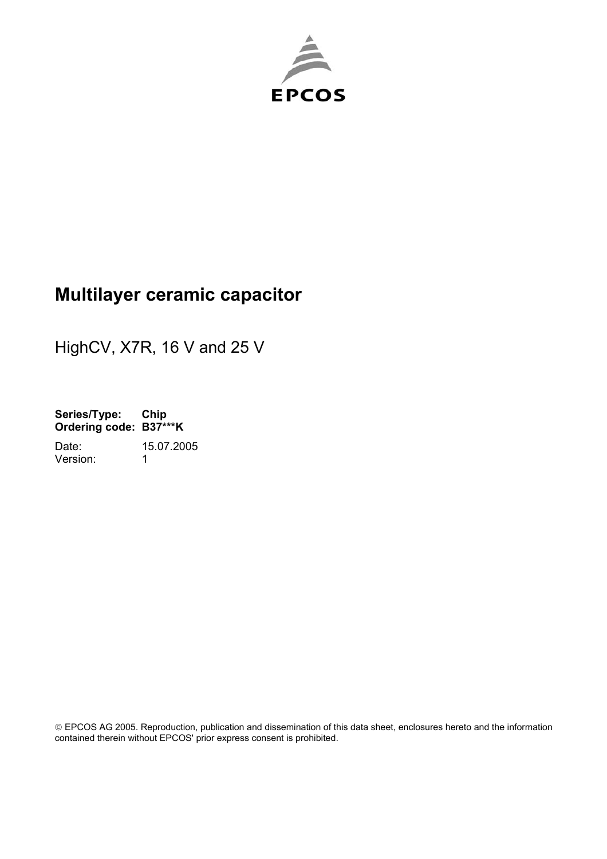

# **Multilayer ceramic capacitor**

HighCV, X7R, 16 V and 25 V

**Series/Type: Chip Ordering code: B37\*\*\*K**  Date: 15.07.2005 Version: 1

 EPCOS AG 2005. Reproduction, publication and dissemination of this data sheet, enclosures hereto and the information contained therein without EPCOS' prior express consent is prohibited.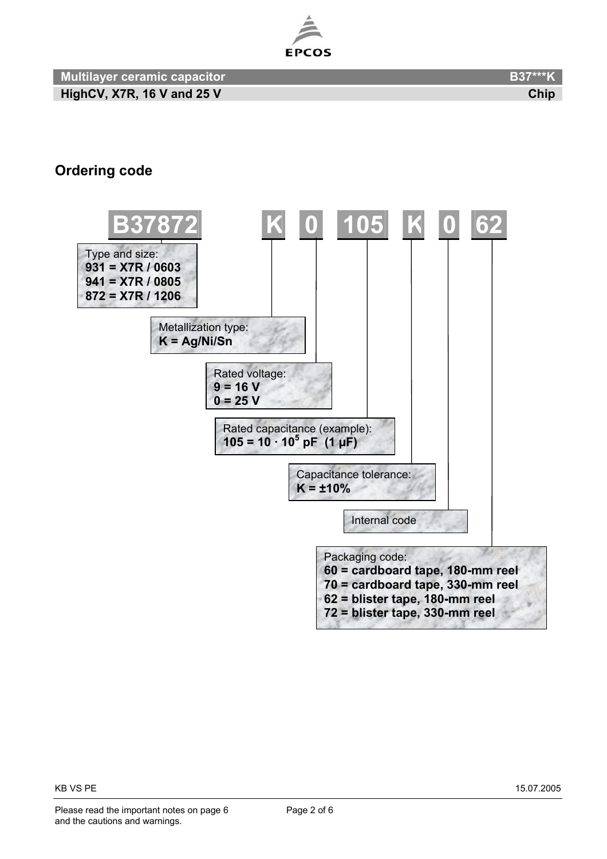

#### **Ordering code**

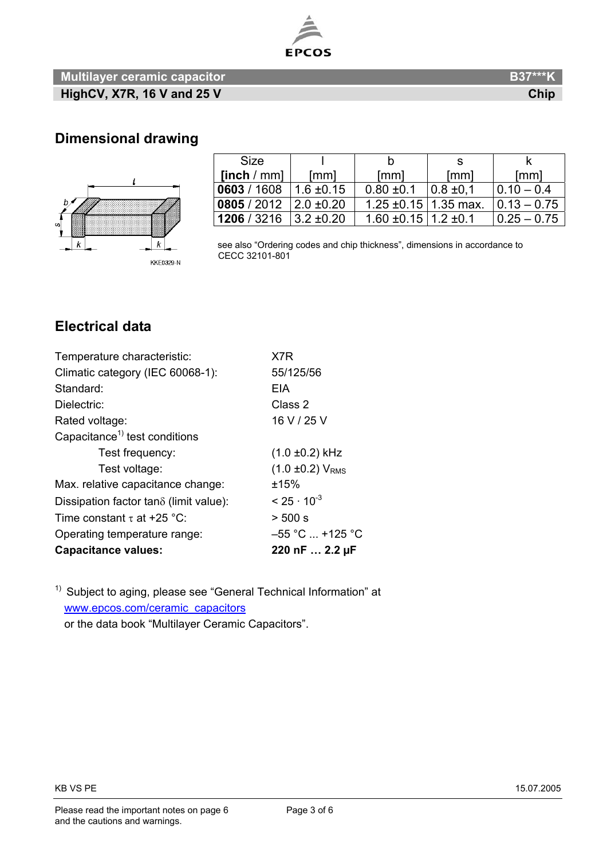

#### **Multilayer ceramic capacitor B37\*\*\*K B37\*\*\*K HighCV, X7R, 16 V and 25 V Chip and 25 V** Chip **Chip Chip Chip Chip Chip**

#### **Dimensional drawing**



| <b>Size</b>                  |                 |                                 | -S            |                 |
|------------------------------|-----------------|---------------------------------|---------------|-----------------|
| [inch / mm]                  | [mm]            | [mm]                            | [mm]          | [mm]            |
| 0603 / 1608                  | $1.6 \pm 0.15$  | $0.80 \pm 0.1$                  | $0.8 \pm 0.1$ | $ 0.10 - 0.4 $  |
| 0805 / 2012   2.0 $\pm$ 0.20 |                 | 1.25 $\pm$ 0.15   1.35 max.     |               | $ 0.13 - 0.75 $ |
| 1206 / 3216                  | $13.2 \pm 0.20$ | $1.60 \pm 0.15$   1.2 $\pm 0.1$ |               | $ 0.25 - 0.75 $ |

 see also "Ordering codes and chip thickness", dimensions in accordance to CECC 32101-801

### **Electrical data**

| <b>Capacitance values:</b>                | 220 nF  2.2 µF          |
|-------------------------------------------|-------------------------|
| Operating temperature range:              | $-55$ °C $$ +125 °C     |
| Time constant $\tau$ at +25 °C:           | > 500 s                 |
| Dissipation factor tano (limit value):    | $< 25 \cdot 10^{-3}$    |
| Max. relative capacitance change:         | ±15%                    |
| Test voltage:                             | $(1.0 \pm 0.2) V_{RMS}$ |
| Test frequency:                           | $(1.0 \pm 0.2)$ kHz     |
| Capacitance <sup>1)</sup> test conditions |                         |
| Rated voltage:                            | 16 V / 25 V             |
| Dielectric:                               | Class 2                 |
| Standard:                                 | EIA                     |
| Climatic category (IEC 60068-1):          | 55/125/56               |
| Temperature characteristic:               | X7R                     |

<sup>1)</sup> Subject to aging, please see "General Technical Information" at www.epcos.com/ceramic\_capacitors

or the data book "Multilayer Ceramic Capacitors".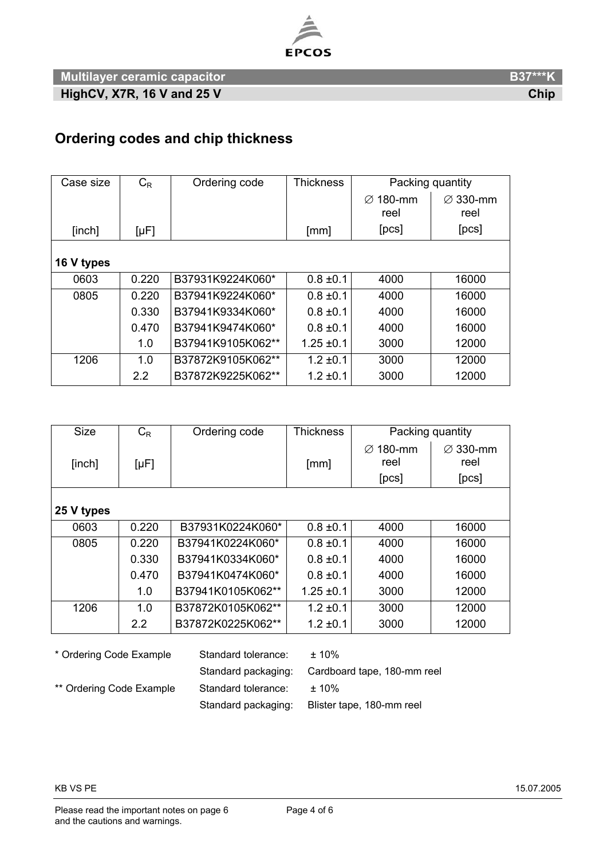

**Multilayer ceramic capacitor B37\*\*\*K B37\*\*\*K HighCV, X7R, 16 V and 25 V Chip Chip and 25 V Chip 2018** 

## **Ordering codes and chip thickness**

| Case size  | $C_{R}$   | Ordering code     | <b>Thickness</b> | Packing quantity    |                              |
|------------|-----------|-------------------|------------------|---------------------|------------------------------|
|            |           |                   |                  | 180-mm<br>Ø<br>reel | $\varnothing$ 330-mm<br>reel |
| [inch]     | $[\mu F]$ |                   | [mm]             | [PCS]               | [pcs]                        |
|            |           |                   |                  |                     |                              |
| 16 V types |           |                   |                  |                     |                              |
| 0603       | 0.220     | B37931K9224K060*  | $0.8 \pm 0.1$    | 4000                | 16000                        |
| 0805       | 0.220     | B37941K9224K060*  | $0.8 \pm 0.1$    | 4000                | 16000                        |
|            | 0.330     | B37941K9334K060*  | $0.8 \pm 0.1$    | 4000                | 16000                        |
|            | 0.470     | B37941K9474K060*  | $0.8 \pm 0.1$    | 4000                | 16000                        |
|            | 1.0       | B37941K9105K062** | $1.25 \pm 0.1$   | 3000                | 12000                        |
| 1206       | 1.0       | B37872K9105K062** | $1.2 \pm 0.1$    | 3000                | 12000                        |
|            | 2.2       | B37872K9225K062** | $1.2 \pm 0.1$    | 3000                | 12000                        |

| <b>Size</b>                                              | $C_R$     | Ordering code     | <b>Thickness</b> | Packing quantity    |                  |
|----------------------------------------------------------|-----------|-------------------|------------------|---------------------|------------------|
| [inch]                                                   | $[\mu F]$ |                   | [mm]             | 180-mm<br>Ø<br>reel | ∅ 330-mm<br>reel |
|                                                          |           |                   |                  | [pcs]               | [pcs]            |
|                                                          |           |                   |                  |                     |                  |
| 25 V types                                               |           |                   |                  |                     |                  |
| 0603                                                     | 0.220     | B37931K0224K060*  | $0.8 \pm 0.1$    | 4000                | 16000            |
| 0805                                                     | 0.220     | B37941K0224K060*  | $0.8 \pm 0.1$    | 4000                | 16000            |
|                                                          | 0.330     | B37941K0334K060*  | $0.8 \pm 0.1$    | 4000                | 16000            |
|                                                          | 0.470     | B37941K0474K060*  | $0.8 \pm 0.1$    | 4000                | 16000            |
|                                                          | 1.0       | B37941K0105K062** | $1.25 \pm 0.1$   | 3000                | 12000            |
| 1206                                                     | 1.0       | B37872K0105K062** | $1.2 \pm 0.1$    | 3000                | 12000            |
|                                                          | 2.2       | B37872K0225K062** | $1.2 \pm 0.1$    | 3000                | 12000            |
| * Ordering Code Example.<br>Standard tolerance:<br>+ 10% |           |                   |                  |                     |                  |

| * Ordering Code Example  | Standard tolerance: | $± 10\%$                    |
|--------------------------|---------------------|-----------------------------|
|                          | Standard packaging: | Cardboard tape, 180-mm reel |
| ** Ordering Code Example | Standard tolerance: | $+10%$                      |
|                          | Standard packaging: | Blister tape, 180-mm reel   |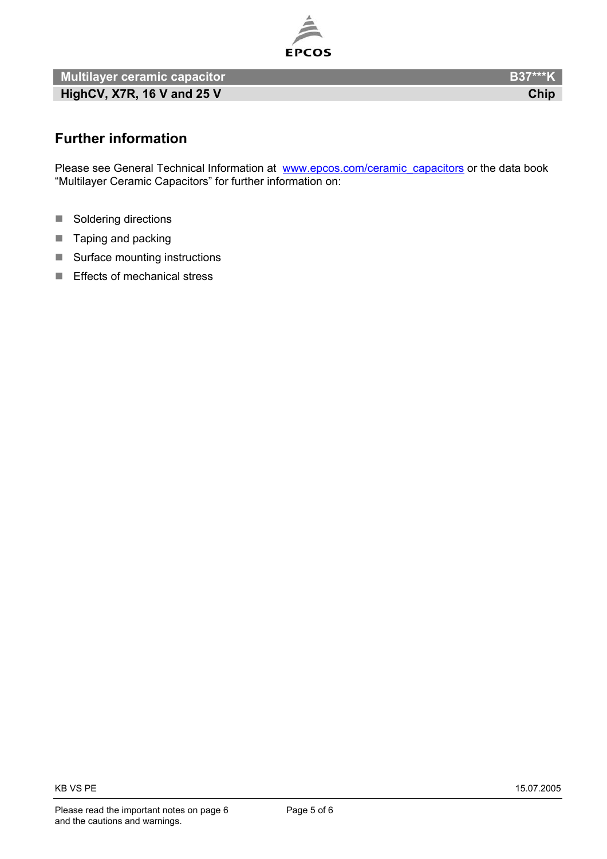

**Multilayer ceramic capacitor B37\*\*\*K B37\*\*\*K HighCV, X7R, 16 V and 25 V Chip and 25 V** Chip **Chip 2018** 

**Further information** 

Please see General Technical Information at [www.epcos.com/ceramic\\_capacitors](http://www.epcos.com/ceramic_capacitors) or the data book "Multilayer Ceramic Capacitors" for further information on:

- $\overline{\mathcal{A}}$ Soldering directions
- $\mathcal{L}_{\mathcal{A}}$ Taping and packing
- $\mathcal{L}_{\mathcal{A}}$ Surface mounting instructions
- $\mathcal{L}_{\mathcal{A}}$ Effects of mechanical stress